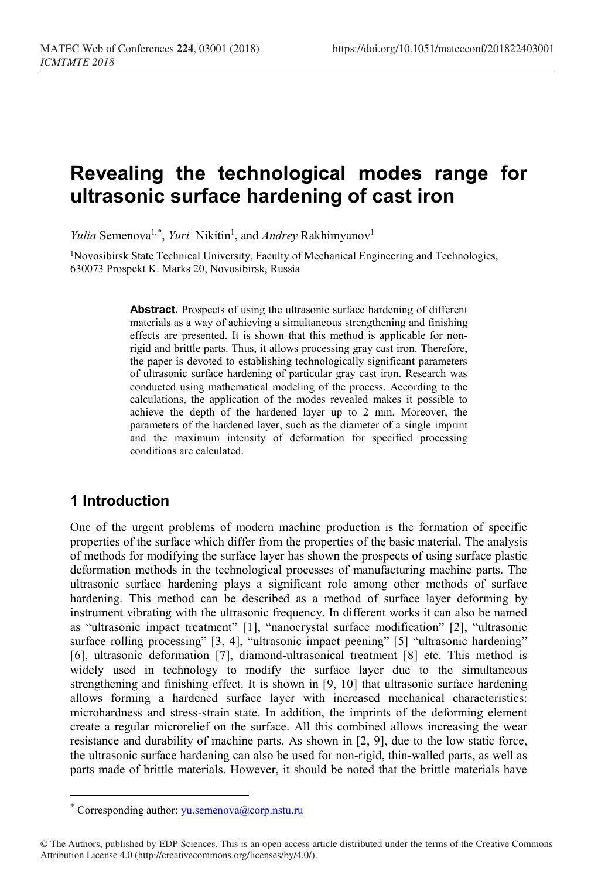# **Revealing the technological modes range for ultrasonic surface hardening of cast iron**

*Yulia* Semenova<sup>1,[\\*](#page-0-0)</sup>, *Yuri* Nikitin<sup>1</sup>, and *Andrey* Rakhimyanov<sup>1</sup>

1Novosibirsk State Technical University, Faculty of Mechanical Engineering and Technologies, 630073 Prospekt K. Marks 20, Novosibirsk, Russia

> **Abstract.** Prospects of using the ultrasonic surface hardening of different materials as a way of achieving a simultaneous strengthening and finishing effects are presented. It is shown that this method is applicable for nonrigid and brittle parts. Thus, it allows processing gray cast iron. Therefore, the paper is devoted to establishing technologically significant parameters of ultrasonic surface hardening of particular gray cast iron. Research was conducted using mathematical modeling of the process. According to the calculations, the application of the modes revealed makes it possible to achieve the depth of the hardened layer up to 2 mm. Moreover, the parameters of the hardened layer, such as the diameter of a single imprint and the maximum intensity of deformation for specified processing conditions are calculated.

# **1 Introduction**

 $\overline{a}$ 

One of the urgent problems of modern machine production is the formation of specific properties of the surface which differ from the properties of the basic material. The analysis of methods for modifying the surface layer has shown the prospects of using surface plastic deformation methods in the technological processes of manufacturing machine parts. The ultrasonic surface hardening plays a significant role among other methods of surface hardening. This method can be described as a method of surface layer deforming by instrument vibrating with the ultrasonic frequency. In different works it can also be named as "ultrasonic impact treatment" [1], "nanocrystal surface modification" [2], "ultrasonic surface rolling processing" [3, 4], "ultrasonic impact peening" [5] "ultrasonic hardening" [6], ultrasonic deformation [7], diamond-ultrasonical treatment [8] etc. This method is widely used in technology to modify the surface layer due to the simultaneous strengthening and finishing effect. It is shown in [9, 10] that ultrasonic surface hardening allows forming a hardened surface layer with increased mechanical characteristics: microhardness and stress-strain state. In addition, the imprints of the deforming element create a regular microrelief on the surface. All this combined allows increasing the wear resistance and durability of machine parts. Аs shown in [2, 9], due to the low static force, the ultrasonic surface hardening can also be used for non-rigid, thin-walled parts, as well as parts made of brittle materials. However, it should be noted that the brittle materials have

Corresponding author:  $yu$ .semenova@corp.nstu.ru

<span id="page-0-0"></span><sup>©</sup> The Authors, published by EDP Sciences. This is an open access article distributed under the terms of the Creative Commons Attribution License 4.0 (http://creativecommons.org/licenses/by/4.0/).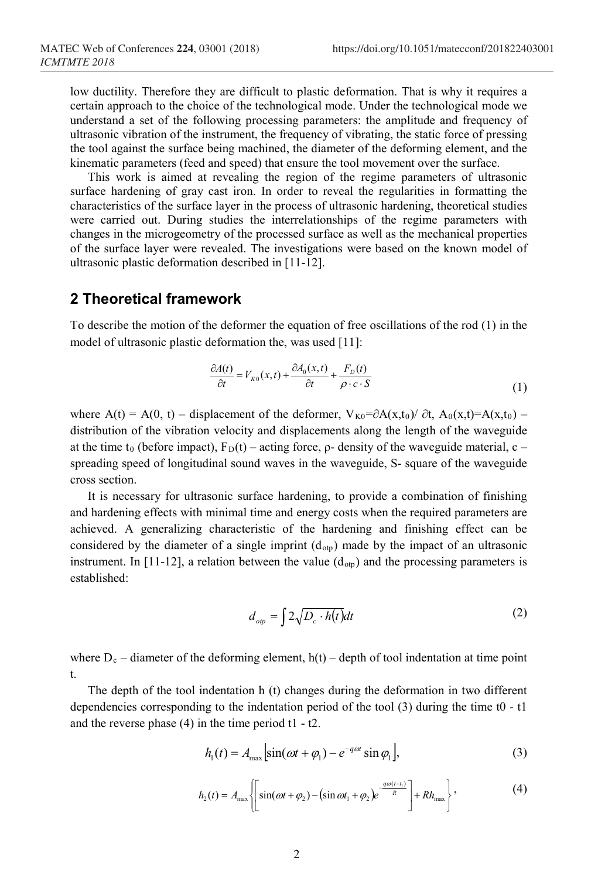low ductility. Therefore they are difficult to plastic deformation. That is why it requires a certain approach to the choice of the technological mode. Under the technological mode we understand a set of the following processing parameters: the amplitude and frequency of ultrasonic vibration of the instrument, the frequency of vibrating, the static force of pressing the tool against the surface being machined, the diameter of the deforming element, and the kinematic parameters (feed and speed) that ensure the tool movement over the surface.

This work is aimed at revealing the region of the regime parameters of ultrasonic surface hardening of gray cast iron. In order to reveal the regularities in formatting the characteristics of the surface layer in the process of ultrasonic hardening, theoretical studies were carried out. During studies the interrelationships of the regime parameters with changes in the microgeometry of the processed surface as well as the mechanical properties of the surface layer were revealed. The investigations were based on the known model of ultrasonic plastic deformation described in [11-12].

# **2 Theoretical framework**

To describe the motion of the deformer the equation of free oscillations of the rod (1) in the model of ultrasonic plastic deformation the, was used [11]:

$$
\frac{\partial A(t)}{\partial t} = V_{K0}(x, t) + \frac{\partial A_0(x, t)}{\partial t} + \frac{F_D(t)}{\rho \cdot c \cdot S}
$$
\n(1)

where A(t) = A(0, t) – displacement of the deformer,  $V_{K0} = \partial A(x,t_0)/\partial t$ ,  $A_0(x,t) = A(x,t_0)$  – distribution of the vibration velocity and displacements along the length of the waveguide at the time t<sub>0</sub> (before impact),  $F_D(t)$  – acting force,  $\rho$ - density of the waveguide material, c – spreading speed of longitudinal sound waves in the waveguide, S- square of the waveguide cross section.

It is necessary for ultrasonic surface hardening, to provide a combination of finishing and hardening effects with minimal time and energy costs when the required parameters are achieved. A generalizing characteristic of the hardening and finishing effect can be considered by the diameter of a single imprint  $(d_{\text{otp}})$  made by the impact of an ultrasonic instrument. In [11-12], a relation between the value  $(d_{\text{otp}})$  and the processing parameters is established:

$$
d_{op} = \int 2\sqrt{D_c \cdot h(t)}dt
$$
 (2)

where  $D_c$  – diameter of the deforming element,  $h(t)$  – depth of tool indentation at time point t.

The depth of the tool indentation h (t) changes during the deformation in two different dependencies corresponding to the indentation period of the tool (3) during the time t0 - t1 and the reverse phase (4) in the time period t1 - t2.

$$
h_1(t) = A_{\text{max}} \left[ \sin(\omega t + \varphi_1) - e^{-q\omega t} \sin \varphi_1 \right],\tag{3}
$$

$$
h_2(t) = A_{\max} \left\{ \left[ \sin(\omega t + \varphi_2) - (\sin \omega t_1 + \varphi_2) e^{\frac{q\omega(t - t_1)}{R}} \right] + R h_{\max} \right\},
$$
 (4)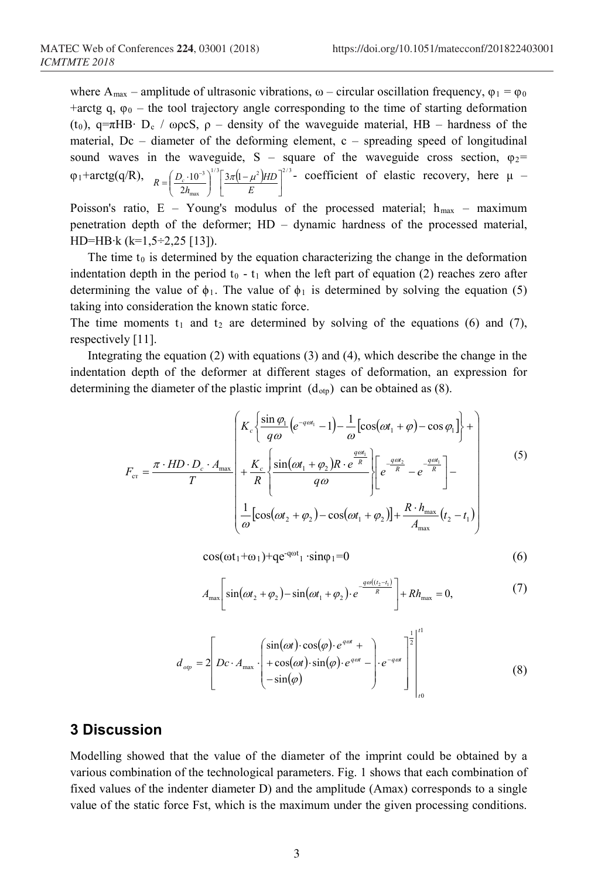where A<sub>max</sub> – amplitude of ultrasonic vibrations,  $\omega$  – circular oscillation frequency,  $\varphi_1 = \varphi_0$ +arctg q,  $\varphi_0$  – the tool trajectory angle corresponding to the time of starting deformation (t<sub>0</sub>), q= $\pi$ HB⋅ D<sub>c</sub> / ωρcS, ρ – density of the waveguide material, HB – hardness of the material,  $Dc$  – diameter of the deforming element,  $c$  – spreading speed of longitudinal sound waves in the waveguide, S – square of the waveguide cross section,  $\varphi_2$ =  $\varphi_1$ +arctg(q/R),  $\int_{B} \int_{B} ( D_c \cdot 10^{-3})^{1/3} [3\pi (1 - \mu^2) H D]^{2/3}$ max  $3 \mid 3\pi(1)$  $\left[\frac{D_c \cdot 10^{-3}}{2h_{\text{max}}}\right]^{\infty} \left[\frac{3\pi (1-\mu^2)HD}{E}\right]$  $|3\pi(1-$ J J Ι l l  $=\left(\frac{D_c \cdot 10^{-1}}{11}\right)$ *E HD*  $R = \left(\frac{D_c \cdot 10^{-3}}{2h_{\text{max}}}\right)^{1/5} \left[\frac{3\pi(1-\mu^2)HD}{E}\right]^{2/5}$  coefficient of elastic recovery, here  $\mu$  –

Poisson's ratio, E – Young's modulus of the processed material;  $h_{\text{max}}$  – maximum penetration depth of the deformer; HD – dynamic hardness of the processed material, HD=HB∙k (k=1,5÷2,25 [13]).

The time  $t_0$  is determined by the equation characterizing the change in the deformation indentation depth in the period  $t_0 - t_1$  when the left part of equation (2) reaches zero after determining the value of  $\phi_1$ . The value of  $\phi_1$  is determined by solving the equation (5) taking into consideration the known static force.

The time moments  $t_1$  and  $t_2$  are determined by solving of the equations (6) and (7), respectively [11].

Integrating the equation (2) with equations (3) and (4), which describe the change in the indentation depth of the deformer at different stages of deformation, an expression for determining the diameter of the plastic imprint  $(d_{\text{otp}})$  can be obtained as (8).

$$
\left\{ K_c \left\{ \frac{\sin \varphi_1}{q\omega} \left( e^{-q\omega t_1} - 1 \right) - \frac{1}{\omega} \left[ \cos(\omega t_1 + \varphi) - \cos \varphi_1 \right] \right\} + \right\}
$$

$$
F_{\rm cr} = \frac{\pi \cdot HD \cdot D_c \cdot A_{\rm max}}{T} + \frac{K_c}{R} \left\{ \frac{\sin(\omega t_1 + \varphi_2)R \cdot e^{\frac{q\omega t_1}{R}}}{q\omega} \right\} \left[ e^{\frac{q\omega t_2}{R}} - e^{\frac{q\omega t_1}{R}} \right] - \frac{1}{\omega} \left[ \cos(\omega t_2 + \varphi_2) - \cos(\omega t_1 + \varphi_2) \right] + \frac{R \cdot h_{\rm max}}{A_{\rm max}} (t_2 - t_1)
$$
\n(5)

 $\cos(\omega t_1 + \omega_1) + q e^{-q \omega t_1} \cdot \sin \phi_1 = 0$  (6)

$$
A_{\max}\left[\sin(\omega t_2 + \varphi_2) - \sin(\omega t_1 + \varphi_2) \cdot e^{\frac{q\omega(t_2 - t_1)}{R}}\right] + Rh_{\max} = 0, \tag{7}
$$

$$
d_{op} = 2\left[DC \cdot A_{\max} \cdot \begin{pmatrix} \sin(\omega t) \cdot \cos(\varphi) \cdot e^{q\omega t} + \\ + \cos(\omega t) \cdot \sin(\varphi) \cdot e^{q\omega t} - \\ -\sin(\varphi) \end{pmatrix} \cdot e^{-q\omega t} \right] \bigg|_{t_0}^{t_1}
$$
(8)

#### **3 Discussion**

Modelling showed that the value of the diameter of the imprint could be obtained by a various combination of the technological parameters. Fig. 1 shows that each combination of fixed values of the indenter diameter D) and the amplitude (Amax) corresponds to a single value of the static force Fst, which is the maximum under the given processing conditions.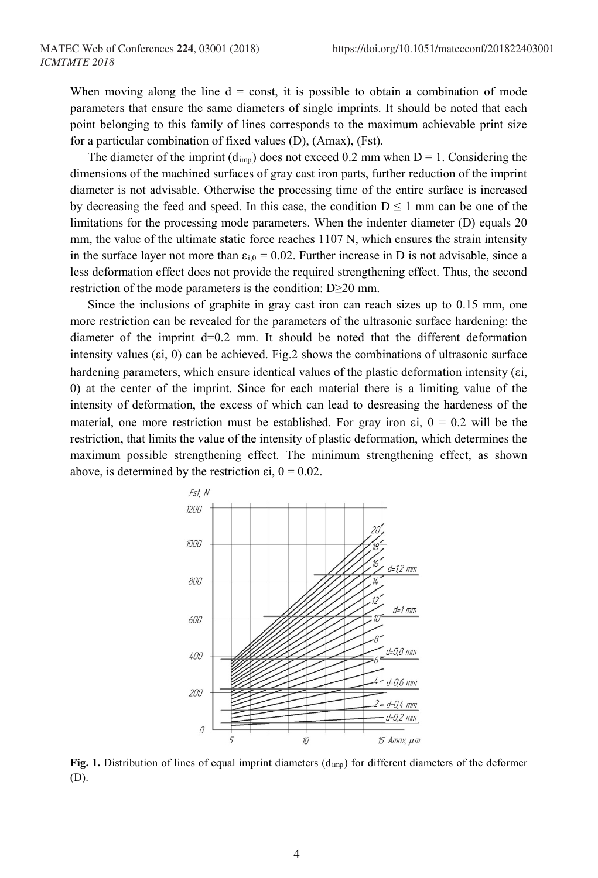When moving along the line  $d =$  const, it is possible to obtain a combination of mode parameters that ensure the same diameters of single imprints. It should be noted that each point belonging to this family of lines corresponds to the maximum achievable print size for a particular combination of fixed values (D), (Amax), (Fst).

The diameter of the imprint  $(d<sub>imp</sub>)$  does not exceed 0.2 mm when  $D = 1$ . Considering the dimensions of the machined surfaces of gray cast iron parts, further reduction of the imprint diameter is not advisable. Otherwise the processing time of the entire surface is increased by decreasing the feed and speed. In this case, the condition  $D \leq 1$  mm can be one of the limitations for the processing mode parameters. When the indenter diameter (D) equals 20 mm, the value of the ultimate static force reaches 1107 N, which ensures the strain intensity in the surface layer not more than  $\varepsilon_{i,0} = 0.02$ . Further increase in D is not advisable, since a less deformation effect does not provide the required strengthening effect. Thus, the second restriction of the mode parameters is the condition: D≥20 mm.

Since the inclusions of graphite in gray cast iron can reach sizes up to 0.15 mm, one more restriction can be revealed for the parameters of the ultrasonic surface hardening: the diameter of the imprint d=0.2 mm. It should be noted that the different deformation intensity values ( $\varepsilon$ i, 0) can be achieved. Fig.2 shows the combinations of ultrasonic surface hardening parameters, which ensure identical values of the plastic deformation intensity (εi, 0) at the center of the imprint. Since for each material there is a limiting value of the intensity of deformation, the excess of which can lead to desreasing the hardeness of the material, one more restriction must be established. For gray iron  $\varepsilon i$ ,  $0 = 0.2$  will be the restriction, that limits the value of the intensity of plastic deformation, which determines the maximum possible strengthening effect. The minimum strengthening effect, as shown above, is determined by the restriction  $\epsilon i$ ,  $0 = 0.02$ .



**Fig. 1.** Distribution of lines of equal imprint diameters (dimp) for different diameters of the deformer (D).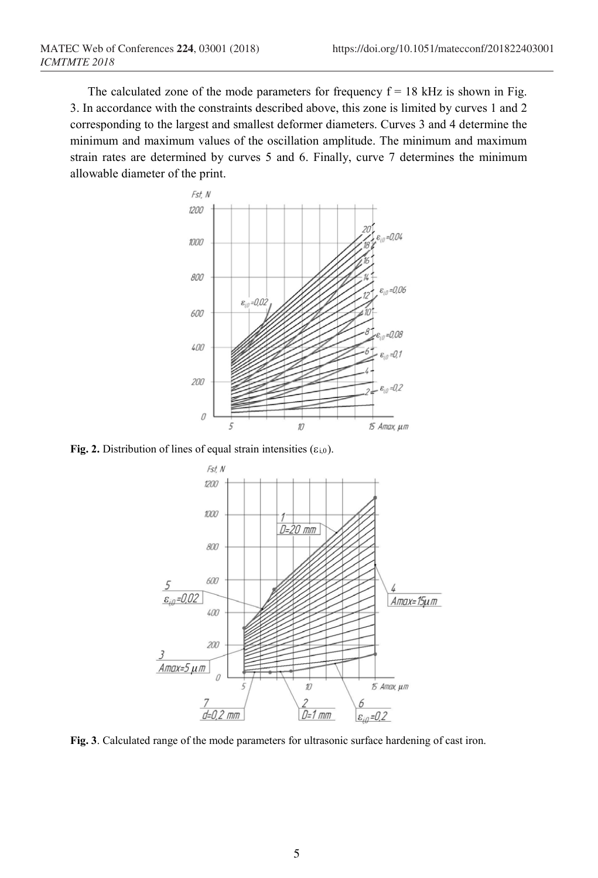The calculated zone of the mode parameters for frequency  $f = 18$  kHz is shown in Fig. 3. In accordance with the constraints described above, this zone is limited by curves 1 and 2 corresponding to the largest and smallest deformer diameters. Curves 3 and 4 determine the minimum and maximum values of the oscillation amplitude. The minimum and maximum strain rates are determined by curves 5 and 6. Finally, curve 7 determines the minimum allowable diameter of the print.



**Fig. 2.** Distribution of lines of equal strain intensities  $(\epsilon_{i,0})$ .



**Fig. 3**. Calculated range of the mode parameters for ultrasonic surface hardening of cast iron.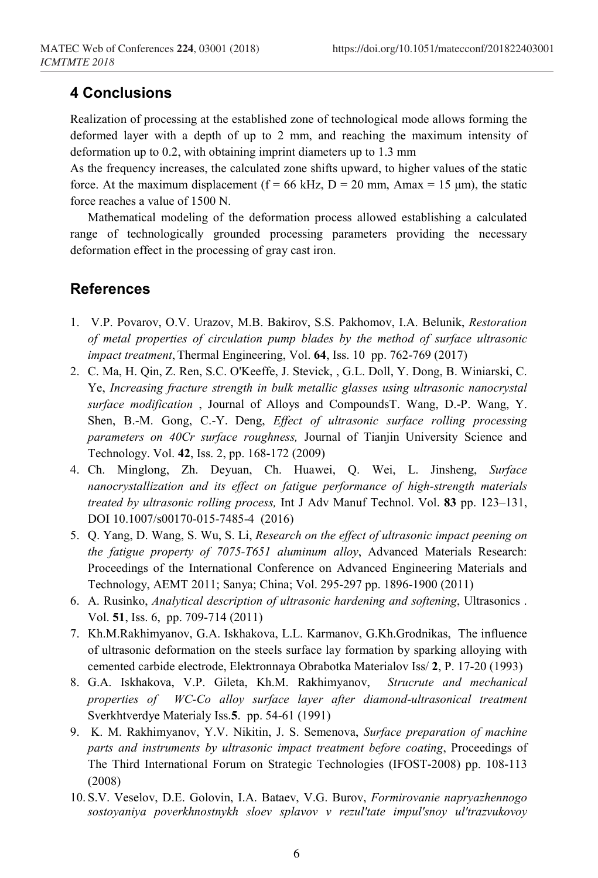# **4 Conclusions**

Realization of processing at the established zone of technological mode allows forming the deformed layer with a depth of up to 2 mm, and reaching the maximum intensity of deformation up to 0.2, with obtaining imprint diameters up to 1.3 mm

As the frequency increases, the calculated zone shifts upward, to higher values of the static force. At the maximum displacement ( $f = 66$  kHz,  $D = 20$  mm, Amax = 15 µm), the static force reaches a value of 1500 N.

Mathematical modeling of the deformation process allowed establishing a calculated range of technologically grounded processing parameters providing the necessary deformation effect in the processing of gray cast iron.

### **References**

- 1. V.P. Povarov, O.V. Urazov, M.B. Bakirov, S.S. Pakhomov, I.A. Belunik, *Restoration of metal properties of circulation pump blades by the method of surface ultrasonic impact treatment*, Thermal Engineering, Vol. **64**, Iss. 10 pp. 762-769 (2017)
- 2. C. Ma, H. Qin, Z. Ren, S.C. O'Keeffe, J. Stevick, , G.L. Doll, Y. Dong, B. Winiarski, C. Ye, *Increasing fracture strength in bulk metallic glasses using ultrasonic nanocrystal surface modification* , Journal of Alloys and [CompoundsT](https://www.scopus.com/sourceid/12325?origin=recordpage). Wang, D.-P. Wang, Y. Shen, B.-M. Gong, C.-Y. Deng, *Effect of ultrasonic surface rolling processing parameters on 40Cr surface roughness,* Journal of Tianjin University Science and Technology. Vol. **42**, Iss. 2, pp. 168-172 (2009)
- 4. Ch. Minglong, Zh. Deyuan, Ch. Huawei, Q. Wei, L. Jinsheng, *Surface nanocrystallization and its effect on fatigue performance of high-strength materials treated by ultrasonic rolling process,* Int J Adv Manuf Technol. Vol. **83** pp. 123–131, DOI 10.1007/s00170-015-7485-4 (2016)
- 5. Q. Yang, D. Wang, S. Wu, S. Li, *Research on the effect of ultrasonic impact peening on the fatigue property of 7075-T651 aluminum alloy*, Advanced Materials Research: Proceedings of the International Conference on Advanced Engineering Materials and Technology, AEMT 2011; Sanya; China; Vol. 295-297 pp. 1896-1900 (2011)
- 6. A. Rusinko, *Analytical description of ultrasonic hardening and softening*, Ultrasonics . Vol. **51**, Iss. 6, pp. 709-714 (2011)
- 7. Kh.M.Rakhimyanov, G.A. Iskhakova, L.L. [Karmanov, G](https://www.scopus.com/authid/detail.uri?authorId=6506833737&eid=2-s2.0-0027188978).K[h.Grodnikas,](https://www.scopus.com/authid/detail.uri?authorId=6506123614&eid=2-s2.0-0027188978) The influence of ultrasonic deformation on the steels surface lay formation by sparking alloying with cemented carbide electrode, Elektronnaya Obrabotka Materialov Iss/ **2**, P. 17-20 (1993)
- 8. G.A. Iskhakova, V.P. [Gileta, K](https://www.scopus.com/authid/detail.uri?authorId=57018144900&eid=2-s2.0-0026225026)h.M. [Rakhimyanov,](https://www.scopus.com/authid/detail.uri?authorId=6603478324&eid=2-s2.0-0026225026) *Strucrute and mechanical properties of WC-Co alloy surface layer after diamond-ultrasonical treatment* Sverkhtverdye Materialy Iss.**5**. рр. 54-61 (1991)
- 9. K. M. Rakhimyanov, Y.V. Nikitin, J. S. Semenova, *Surface preparation of machine parts and instruments by ultrasonic impact treatment before coating*, Proceedings of The Third International Forum on Strategic Technologies (IFOST-2008) pp. 108-113 (2008)
- 10. S.V. Veselov, D.E. Golovin, I.A. Bataev, V.G. Burov, *Formirovanie napryazhennogo sostoyaniya poverkhnostnykh sloev splavov v rezul'tate impul'snoy ul'trazvukovoy*